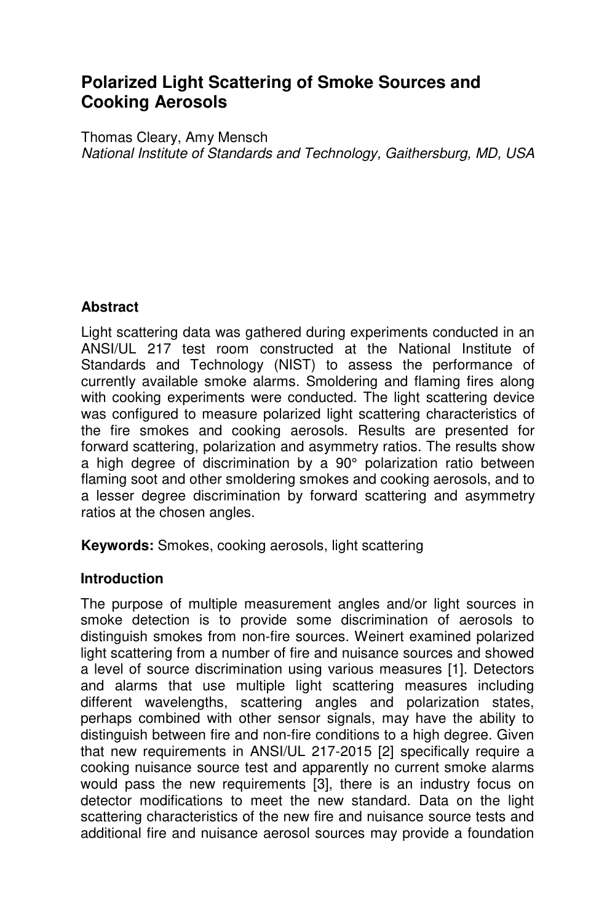# **Polarized Light Scattering of Smoke Sources and Cooking Aerosols**

Thomas Cleary, Amy Mensch National Institute of Standards and Technology, Gaithersburg, MD, USA

# **Abstract**

Light scattering data was gathered during experiments conducted in an ANSI/UL 217 test room constructed at the National Institute of Standards and Technology (NIST) to assess the performance of currently available smoke alarms. Smoldering and flaming fires along with cooking experiments were conducted. The light scattering device was configured to measure polarized light scattering characteristics of the fire smokes and cooking aerosols. Results are presented for forward scattering, polarization and asymmetry ratios. The results show a high degree of discrimination by a 90° polarization ratio between flaming soot and other smoldering smokes and cooking aerosols, and to a lesser degree discrimination by forward scattering and asymmetry ratios at the chosen angles.

**Keywords:** Smokes, cooking aerosols, light scattering

### **Introduction**

The purpose of multiple measurement angles and/or light sources in smoke detection is to provide some discrimination of aerosols to distinguish smokes from non-fire sources. Weinert examined polarized light scattering from a number of fire and nuisance sources and showed a level of source discrimination using various measures [1]. Detectors and alarms that use multiple light scattering measures including different wavelengths, scattering angles and polarization states, perhaps combined with other sensor signals, may have the ability to distinguish between fire and non-fire conditions to a high degree. Given that new requirements in ANSI/UL 217-2015 [2] specifically require a cooking nuisance source test and apparently no current smoke alarms would pass the new requirements [3], there is an industry focus on detector modifications to meet the new standard. Data on the light scattering characteristics of the new fire and nuisance source tests and additional fire and nuisance aerosol sources may provide a foundation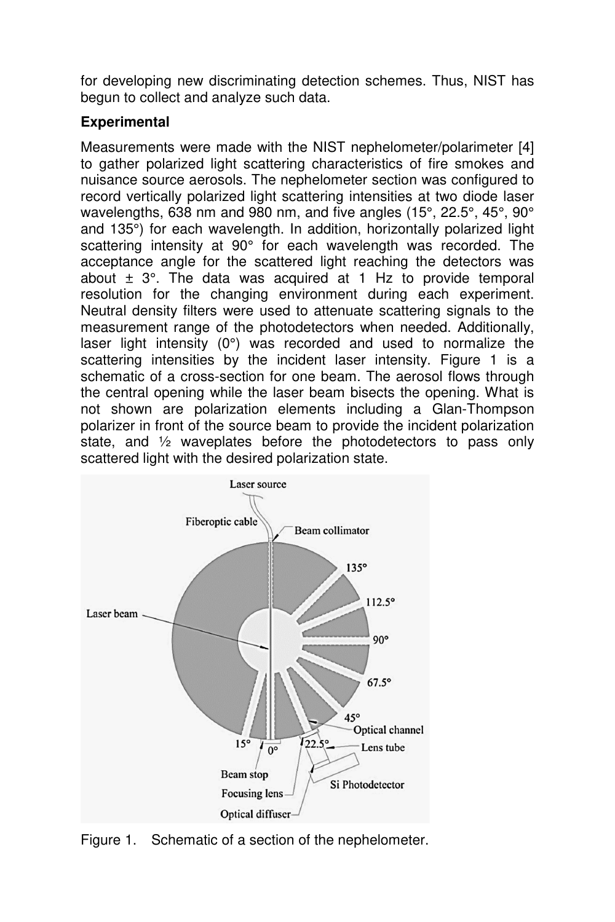for developing new discriminating detection schemes. Thus, NIST has begun to collect and analyze such data.

# **Experimental**

Measurements were made with the NIST nephelometer/polarimeter [4] to gather polarized light scattering characteristics of fire smokes and nuisance source aerosols. The nephelometer section was configured to record vertically polarized light scattering intensities at two diode laser wavelengths, 638 nm and 980 nm, and five angles (15°, 22.5°, 45°, 90° and 135°) for each wavelength. In addition, horizontally polarized light scattering intensity at 90° for each wavelength was recorded. The acceptance angle for the scattered light reaching the detectors was about  $\pm$  3°. The data was acquired at 1 Hz to provide temporal resolution for the changing environment during each experiment. Neutral density filters were used to attenuate scattering signals to the measurement range of the photodetectors when needed. Additionally, laser light intensity (0°) was recorded and used to normalize the scattering intensities by the incident laser intensity. Figure 1 is a schematic of a cross-section for one beam. The aerosol flows through the central opening while the laser beam bisects the opening. What is not shown are polarization elements including a Glan-Thompson polarizer in front of the source beam to provide the incident polarization state, and ½ waveplates before the photodetectors to pass only scattered light with the desired polarization state.



Figure 1. Schematic of a section of the nephelometer.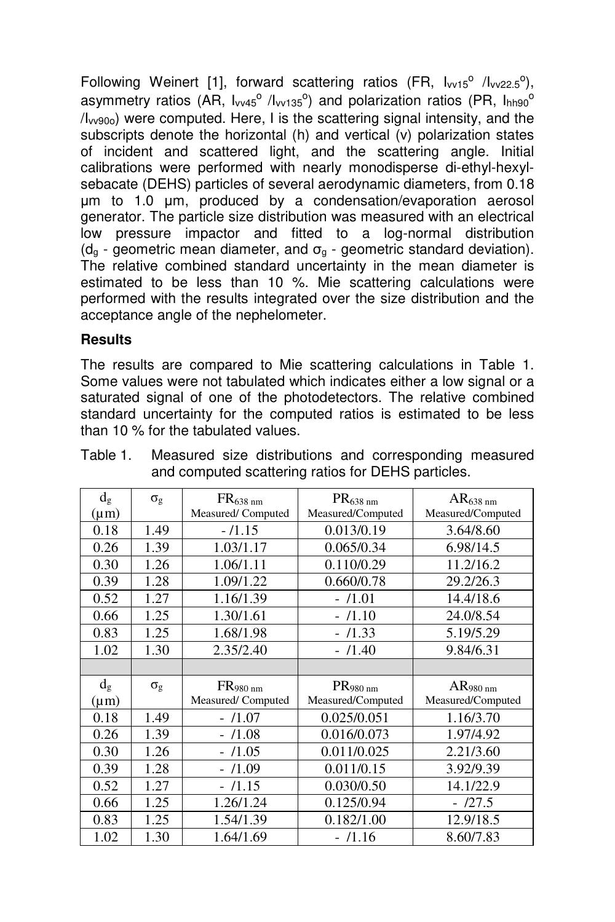Following Weinert [1], forward scattering ratios (FR,  $I_{\text{vv15}}$ <sup>o</sup> / $I_{\text{vv22.5}}$ <sup>o</sup>), asymmetry ratios (AR, I<sub>vv45</sub>° /I<sub>vv135</sub>°) and polarization ratios (PR, I<sub>hh90</sub>° /Ivv90o) were computed. Here, I is the scattering signal intensity, and the subscripts denote the horizontal (h) and vertical (v) polarization states of incident and scattered light, and the scattering angle. Initial calibrations were performed with nearly monodisperse di-ethyl-hexylsebacate (DEHS) particles of several aerodynamic diameters, from 0.18 µm to 1.0 µm, produced by a condensation/evaporation aerosol generator. The particle size distribution was measured with an electrical low pressure impactor and fitted to a log-normal distribution ( $d_{\alpha}$  - geometric mean diameter, and  $\sigma_{\alpha}$  - geometric standard deviation). The relative combined standard uncertainty in the mean diameter is estimated to be less than 10 %. Mie scattering calculations were performed with the results integrated over the size distribution and the acceptance angle of the nephelometer.

# **Results**

The results are compared to Mie scattering calculations in Table 1. Some values were not tabulated which indicates either a low signal or a saturated signal of one of the photodetectors. The relative combined standard uncertainty for the computed ratios is estimated to be less than 10 % for the tabulated values.

| $d_g$<br>$(\mu m)$ | $\sigma_{\rm g}$ | FR <sub>638 nm</sub><br>Measured/Computed | PR <sub>638 nm</sub><br>Measured/Computed | AR <sub>638 nm</sub><br>Measured/Computed |
|--------------------|------------------|-------------------------------------------|-------------------------------------------|-------------------------------------------|
| 0.18               | 1.49             | $-11.15$                                  | 0.013/0.19                                | 3.64/8.60                                 |
| 0.26               | 1.39             | 1.03/1.17                                 | 0.065/0.34                                | 6.98/14.5                                 |
| 0.30               | 1.26             | 1.06/1.11                                 | 0.110/0.29                                | 11.2/16.2                                 |
| 0.39               | 1.28             | 1.09/1.22                                 | 0.660/0.78                                | 29.2/26.3                                 |
| 0.52               | 1.27             | 1.16/1.39                                 | - /1.01                                   | 14.4/18.6                                 |
| 0.66               | 1.25             | 1.30/1.61                                 | $-11.10$                                  | 24.0/8.54                                 |
| 0.83               | 1.25             | 1.68/1.98                                 | $-$ /1.33                                 | 5.19/5.29                                 |
| 1.02               | 1.30             | 2.35/2.40                                 | - /1.40                                   | 9.84/6.31                                 |
|                    |                  |                                           |                                           |                                           |
| $d_g$              | $\sigma_{\rm g}$ | FR980 nm                                  | PR <sub>980 nm</sub>                      | AR <sub>980 nm</sub>                      |
| $(\mu m)$          |                  | Measured/Computed                         | Measured/Computed                         | Measured/Computed                         |
| 0.18               | 1.49             | $-11.07$                                  | 0.025/0.051                               | 1.16/3.70                                 |
| 0.26               | 1.39             | $-11.08$                                  | 0.016/0.073                               | 1.97/4.92                                 |
| 0.30               | 1.26             | /1.05<br>$\overline{a}$                   | 0.011/0.025                               | 2.21/3.60                                 |
| 0.39               | 1.28             | /1.09                                     | 0.011/0.15                                | 3.92/9.39                                 |
| 0.52               | 1.27             | /1.15<br>÷.                               | 0.030/0.50                                | 14.1/22.9                                 |
| 0.66               | 1.25             | 1.26/1.24                                 | 0.125/0.94                                | $-127.5$                                  |
| 0.83               | 1.25             | 1.54/1.39                                 | 0.182/1.00                                | 12.9/18.5                                 |
| 1.02               | 1.30             | 1.64/1.69                                 | - /1.16                                   | 8.60/7.83                                 |

| Table 1. |                                                    |  |  |  | Measured size distributions and corresponding measured |  |  |
|----------|----------------------------------------------------|--|--|--|--------------------------------------------------------|--|--|
|          | and computed scattering ratios for DEHS particles. |  |  |  |                                                        |  |  |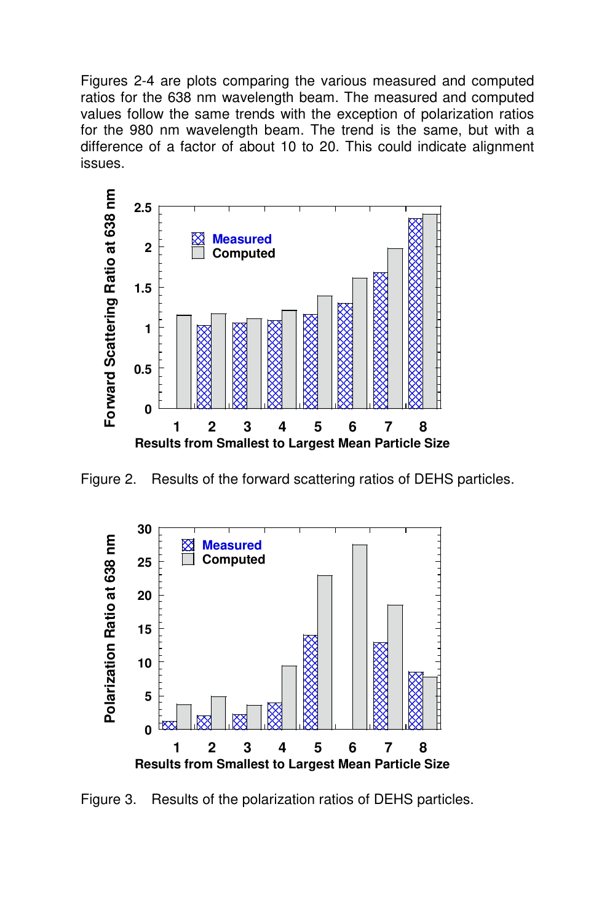Figures 2-4 are plots comparing the various measured and computed ratios for the 638 nm wavelength beam. The measured and computed values follow the same trends with the exception of polarization ratios for the 980 nm wavelength beam. The trend is the same, but with a difference of a factor of about 10 to 20. This could indicate alignment issues.



Figure 2. Results of the forward scattering ratios of DEHS particles.



Figure 3. Results of the polarization ratios of DEHS particles.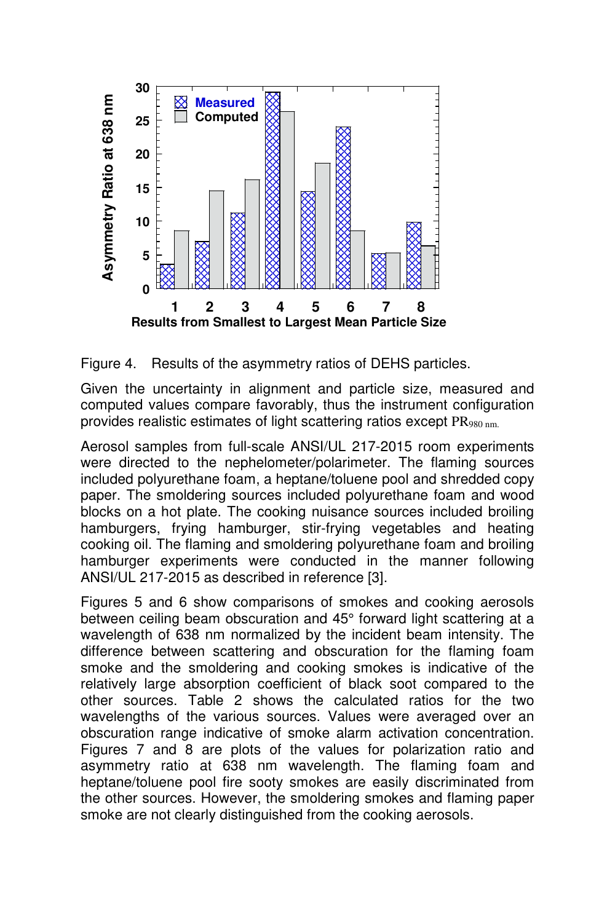

Figure 4. Results of the asymmetry ratios of DEHS particles.

Given the uncertainty in alignment and particle size, measured and computed values compare favorably, thus the instrument configuration provides realistic estimates of light scattering ratios except PR<sub>980 nm.</sub>

Aerosol samples from full-scale ANSI/UL 217-2015 room experiments were directed to the nephelometer/polarimeter. The flaming sources included polyurethane foam, a heptane/toluene pool and shredded copy paper. The smoldering sources included polyurethane foam and wood blocks on a hot plate. The cooking nuisance sources included broiling hamburgers, frying hamburger, stir-frying vegetables and heating cooking oil. The flaming and smoldering polyurethane foam and broiling hamburger experiments were conducted in the manner following ANSI/UL 217-2015 as described in reference [3].

Figures 5 and 6 show comparisons of smokes and cooking aerosols between ceiling beam obscuration and 45° forward light scattering at a wavelength of 638 nm normalized by the incident beam intensity. The difference between scattering and obscuration for the flaming foam smoke and the smoldering and cooking smokes is indicative of the relatively large absorption coefficient of black soot compared to the other sources. Table 2 shows the calculated ratios for the two wavelengths of the various sources. Values were averaged over an obscuration range indicative of smoke alarm activation concentration. Figures 7 and 8 are plots of the values for polarization ratio and asymmetry ratio at 638 nm wavelength. The flaming foam and heptane/toluene pool fire sooty smokes are easily discriminated from the other sources. However, the smoldering smokes and flaming paper smoke are not clearly distinguished from the cooking aerosols.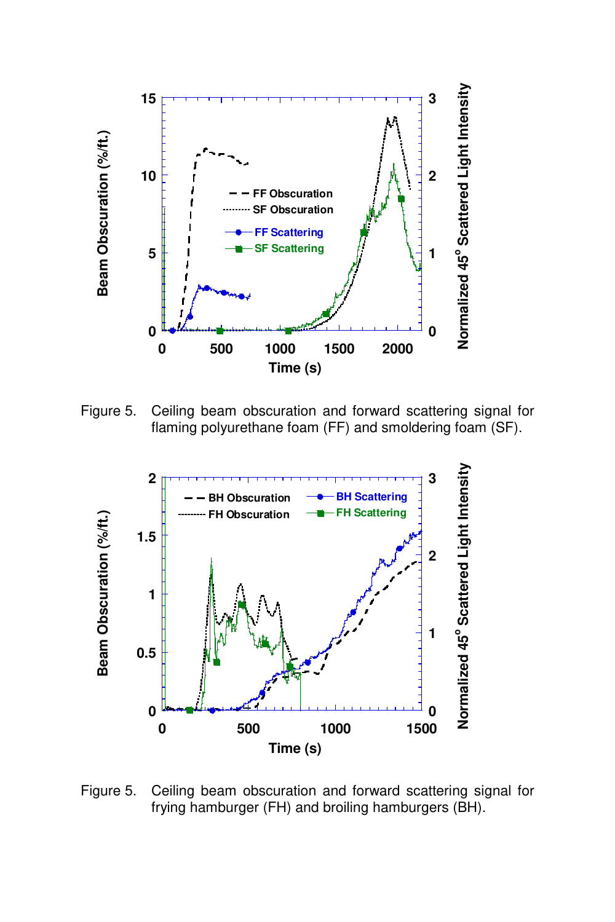

Figure 5. Ceiling beam obscuration and forward scattering signal for flaming polyurethane foam (FF) and smoldering foam (SF).



Figure 5. Ceiling beam obscuration and forward scattering signal for frying hamburger (FH) and broiling hamburgers (BH).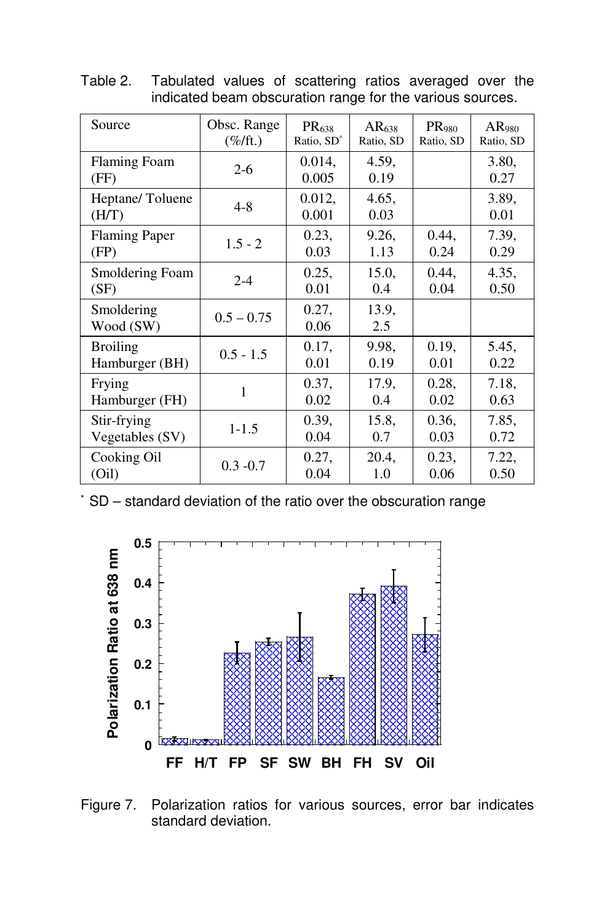| Source                   | Obsc. Range       | PR <sub>638</sub>      | AR <sub>638</sub> | PR <sub>980</sub> | AR <sub>980</sub> |
|--------------------------|-------------------|------------------------|-------------------|-------------------|-------------------|
|                          | $(\%/\text{ft.})$ | Ratio, SD <sup>*</sup> | Ratio, SD         | Ratio, SD         | Ratio, SD         |
| Flaming Foam<br>(FF)     | $2 - 6$           | $0.014$ ,<br>0.005     | 4.59,<br>0.19     |                   | 3.80,<br>0.27     |
| Heptane/Toluene<br>(H/T) | $4 - 8$           | 0.012,<br>0.001        | 4.65,<br>0.03     |                   | 3.89,<br>0.01     |
| <b>Flaming Paper</b>     | $1.5 - 2$         | 0.23,                  | 9.26,             | 0.44,             | 7.39,             |
| (FP)                     |                   | 0.03                   | 1.13              | 0.24              | 0.29              |
| Smoldering Foam          | $2 - 4$           | 0.25,                  | 15.0,             | 0.44,             | 4.35,             |
| (SF)                     |                   | 0.01                   | 0.4               | 0.04              | 0.50              |
| Smoldering<br>Wood (SW)  | $0.5 - 0.75$      | 0.27,<br>0.06          | 13.9,<br>2.5      |                   |                   |
| <b>Broiling</b>          | $0.5 - 1.5$       | 0.17,                  | 9.98,             | 0.19,             | 5.45,             |
| Hamburger (BH)           |                   | 0.01                   | 0.19              | 0.01              | 0.22              |
| Frying                   | 1                 | 0.37,                  | 17.9,             | 0.28,             | 7.18,             |
| Hamburger (FH)           |                   | 0.02                   | 0.4               | 0.02              | 0.63              |
| Stir-frying              | $1 - 1.5$         | 0.39,                  | 15.8,             | 0.36,             | 7.85,             |
| Vegetables (SV)          |                   | 0.04                   | 0.7               | 0.03              | 0.72              |
| Cooking Oil              | $0.3 - 0.7$       | 0.27,                  | 20.4,             | 0.23,             | 7.22,             |
| (Oil)                    |                   | 0.04                   | 1.0               | 0.06              | 0.50              |

Table 2. Tabulated values of scattering ratios averaged over the indicated beam obscuration range for the various sources.

\* SD – standard deviation of the ratio over the obscuration range



Figure 7. Polarization ratios for various sources, error bar indicates standard deviation.